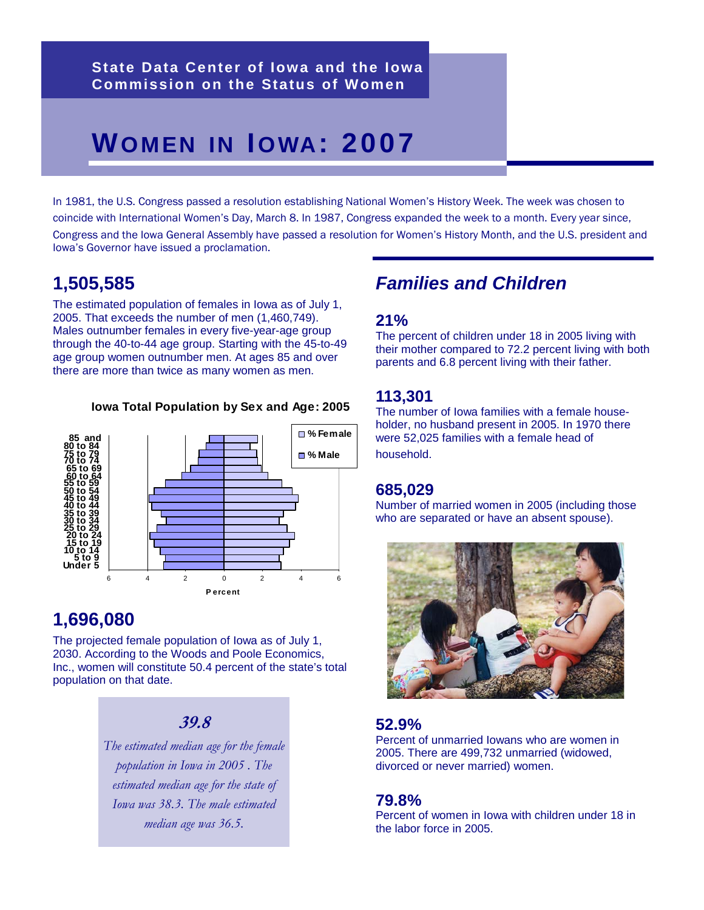# **WOMEN IN IOWA: 2007**

In 1981, the U.S. Congress passed a resolution establishing National Women's History Week. The week was chosen to coincide with International Women's Day, March 8. In 1987, Congress expanded the week to a month. Every year since, Congress and the Iowa General Assembly have passed a resolution for Women's History Month, and the U.S. president and Iowa's Governor have issued a proclamation.

# **1,505,585**

The estimated population of females in Iowa as of July 1, 2005. That exceeds the number of men (1,460,749). Males outnumber females in every five-year-age group through the 40-to-44 age group. Starting with the 45-to-49 age group women outnumber men. At ages 85 and over there are more than twice as many women as men.

#### **Iowa Total Population by Sex and Age: 2005**



### **1,696,080**

The projected female population of Iowa as of July 1, 2030. According to the Woods and Poole Economics, Inc., women will constitute 50.4 percent of the state's total population on that date.

#### **39.8**

*The estimated median age for the female population in Iowa in 2005 . The estimated median age for the state of Iowa was 38.3. The male estimated median age was 36.5.*

# *Families and Children*

#### **21%**

The percent of children under 18 in 2005 living with their mother compared to 72.2 percent living with both parents and 6.8 percent living with their father.

#### **113,301**

The number of Iowa families with a female householder, no husband present in 2005. In 1970 there were 52,025 families with a female head of household.

#### **685,029**

Number of married women in 2005 (including those who are separated or have an absent spouse).



#### **52.9%**

Percent of unmarried Iowans who are women in 2005. There are 499,732 unmarried (widowed, divorced or never married) women.

#### **79.8%**

Percent of women in Iowa with children under 18 in the labor force in 2005.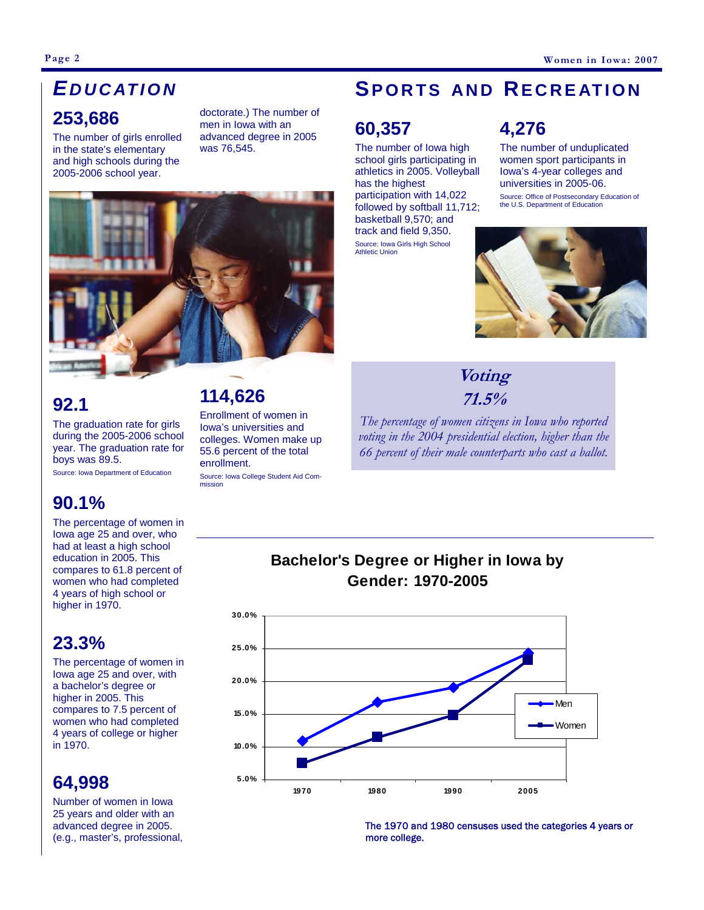# **253,686**  *E DUCATION*

The number of girls enrolled in the state's elementary and high schools during the 2005-2006 school year.

doctorate.) The number of men in Iowa with an advanced degree in 2005 was 76,545.



# **92.1**

The graduation rate for girls during the 2005-2006 school year. The graduation rate for boys was 89.5.

Source: Iowa Department of Education

### **90.1%**

The percentage of women in Iowa age 25 and over, who had at least a high school education in 2005. This compares to 61.8 percent of women who had completed 4 years of high school or higher in 1970.

#### **23.3%**

The percentage of women in Iowa age 25 and over, with a bachelor's degree or higher in 2005. This compares to 7.5 percent of women who had completed 4 years of college or higher in 1970.

# **64,998**

Number of women in Iowa 25 years and older with an advanced degree in 2005. (e.g., master's, professional,

# **114,626**

Enrollment of women in Iowa's universities and colleges. Women make up 55.6 percent of the total enrollment.

Source: Iowa College Student Aid Commission

# **SPORTS AND RECREATION**

# **60,357**

The number of Iowa high school girls participating in athletics in 2005. Volleyball has the highest participation with 14,022 followed by softball 11,712; basketball 9,570; and track and field 9,350. Source: Iowa Girls High School Athletic Union

# **4,276**

The number of unduplicated women sport participants in Iowa's 4-year colleges and universities in 2005-06.

Source: Office of Postsecondary Education of the U.S. Department of Education



### **Voting 71.5%**

*The percentage of women citizens in Iowa who reported voting in the 2004 presidential election, higher than the 66 percent of their male counterparts who cast a ballot.* 



**Bachelor's Degree or Higher in Iowa by Gender: 1970-2005**

> The 1970 and 1980 censuses used the categories 4 years or more college.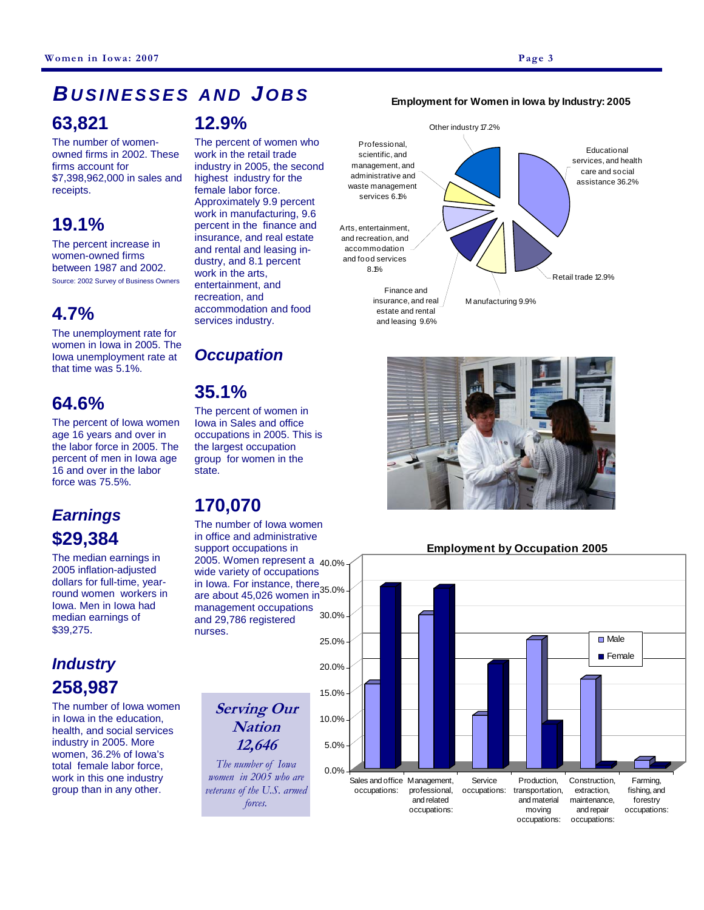#### **63,821**  *BUSINESSES AND JOBS* **12.9%**

The number of womenowned firms in 2002. These firms account for \$7,398,962,000 in sales and receipts.

# **19.1%**

The percent increase in women-owned firms between 1987 and 2002. Source: 2002 Survey of Business Owners

#### **4.7%**

The unemployment rate for women in Iowa in 2005. The Iowa unemployment rate at that time was 5.1%.

### **64.6%**

The percent of Iowa women age 16 years and over in the labor force in 2005. The percent of men in Iowa age 16 and over in the labor force was 75.5%.

# *Earnings*  **\$29,384**

The median earnings in 2005 inflation-adjusted dollars for full-time, yearround women workers in Iowa. Men in Iowa had median earnings of \$39,275.

# *Industry*  **258,987**

The number of Iowa women in Iowa in the education, health, and social services industry in 2005. More women, 36.2% of Iowa's total female labor force, work in this one industry group than in any other.

The percent of women who work in the retail trade industry in 2005, the second highest industry for the female labor force. Approximately 9.9 percent work in manufacturing, 9.6 percent in the finance and insurance, and real estate and rental and leasing industry, and 8.1 percent work in the arts, entertainment, and recreation, and accommodation and food services industry.

#### *Occupation*

#### **35.1%**

The percent of women in Iowa in Sales and office occupations in 2005. This is the largest occupation group for women in the state.

# **170,070**

in Iowa. For instance, there 35.0% 2005. Women represent a <sub>40.0%</sub> The number of Iowa women in office and administrative support occupations in wide variety of occupations are about 45,026 women in management occupations and 29,786 registered nurses.

> **Serving Our Nation 12,646**

*The number of Iowa women in 2005 who are veterans of the U.S. armed forces.* 





#### **Employment by Occupation 2005**



#### **Employment for Women in Iowa by Industry: 2005**